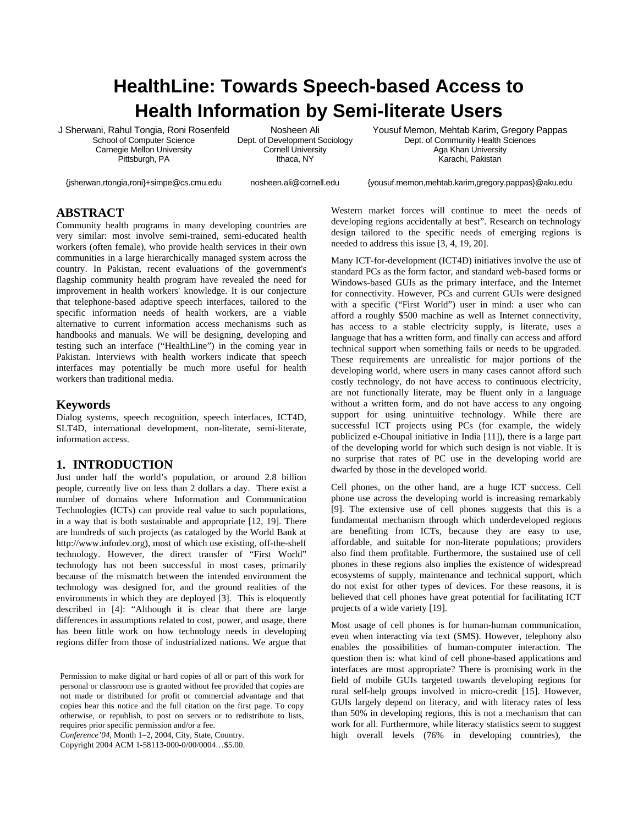# **HealthLine: Towards Speech-based Access to Health Information by Semi-literate Users**

J Sherwani, Rahul Tongia, Roni Rosenfeld School of Computer Science Carnegie Mellon University Pittsburgh, PA

Nosheen Ali Dept. of Development Sociology Cornell University Ithaca, NY

Yousuf Memon, Mehtab Karim, Gregory Pappas Dept. of Community Health Sciences Aga Khan University Karachi, Pakistan

{jsherwan,rtongia,roni}+simpe@cs.cmu.edu

nosheen.ali@cornell.edu

{yousuf.memon,mehtab.karim,gregory.pappas}@aku.edu

# **ABSTRACT**

Community health programs in many developing countries are very similar: most involve semi-trained, semi-educated health workers (often female), who provide health services in their own communities in a large hierarchically managed system across the country. In Pakistan, recent evaluations of the government's flagship community health program have revealed the need for improvement in health workers' knowledge. It is our conjecture that telephone-based adaptive speech interfaces, tailored to the specific information needs of health workers, are a viable alternative to current information access mechanisms such as handbooks and manuals. We will be designing, developing and testing such an interface ("HealthLine") in the coming year in Pakistan. Interviews with health workers indicate that speech interfaces may potentially be much more useful for health workers than traditional media.

#### **Keywords**

Dialog systems, speech recognition, speech interfaces, ICT4D, SLT4D, international development, non-literate, semi-literate, information access.

## **1. INTRODUCTION**

Just under half the world's population, or around 2.8 billion people, currently live on less than 2 dollars a day. There exist a number of domains where Information and Communication Technologies (ICTs) can provide real value to such populations, in a way that is both sustainable and appropriate [12, 19]. There are hundreds of such projects (as cataloged by the World Bank at http://www.infodev.org), most of which use existing, off-the-shelf technology. However, the direct transfer of "First World" technology has not been successful in most cases, primarily because of the mismatch between the intended environment the technology was designed for, and the ground realities of the environments in which they are deployed [3]. This is eloquently described in [4]: "Although it is clear that there are large differences in assumptions related to cost, power, and usage, there has been little work on how technology needs in developing regions differ from those of industrialized nations. We argue that

*Conference'04*, Month 1–2, 2004, City, State, Country.

Copyright 2004 ACM 1-58113-000-0/00/0004…\$5.00.

Western market forces will continue to meet the needs of developing regions accidentally at best". Research on technology design tailored to the specific needs of emerging regions is needed to address this issue [3, 4, 19, 20].

Many ICT-for-development (ICT4D) initiatives involve the use of standard PCs as the form factor, and standard web-based forms or Windows-based GUIs as the primary interface, and the Internet for connectivity. However, PCs and current GUIs were designed with a specific ("First World") user in mind: a user who can afford a roughly \$500 machine as well as Internet connectivity, has access to a stable electricity supply, is literate, uses a language that has a written form, and finally can access and afford technical support when something fails or needs to be upgraded. These requirements are unrealistic for major portions of the developing world, where users in many cases cannot afford such costly technology, do not have access to continuous electricity, are not functionally literate, may be fluent only in a language without a written form, and do not have access to any ongoing support for using unintuitive technology. While there are successful ICT projects using PCs (for example, the widely publicized e-Choupal initiative in India [11]), there is a large part of the developing world for which such design is not viable. It is no surprise that rates of PC use in the developing world are dwarfed by those in the developed world.

Cell phones, on the other hand, are a huge ICT success. Cell phone use across the developing world is increasing remarkably [9]. The extensive use of cell phones suggests that this is a fundamental mechanism through which underdeveloped regions are benefiting from ICTs, because they are easy to use, affordable, and suitable for non-literate populations; providers also find them profitable. Furthermore, the sustained use of cell phones in these regions also implies the existence of widespread ecosystems of supply, maintenance and technical support, which do not exist for other types of devices. For these reasons, it is believed that cell phones have great potential for facilitating ICT projects of a wide variety [19].

Most usage of cell phones is for human-human communication, even when interacting via text (SMS). However, telephony also enables the possibilities of human-computer interaction. The question then is: what kind of cell phone-based applications and interfaces are most appropriate? There is promising work in the field of mobile GUIs targeted towards developing regions for rural self-help groups involved in micro-credit [15]. However, GUIs largely depend on literacy, and with literacy rates of less than 50% in developing regions, this is not a mechanism that can work for all. Furthermore, while literacy statistics seem to suggest high overall levels (76% in developing countries), the

Permission to make digital or hard copies of all or part of this work for personal or classroom use is granted without fee provided that copies are not made or distributed for profit or commercial advantage and that copies bear this notice and the full citation on the first page. To copy otherwise, or republish, to post on servers or to redistribute to lists, requires prior specific permission and/or a fee.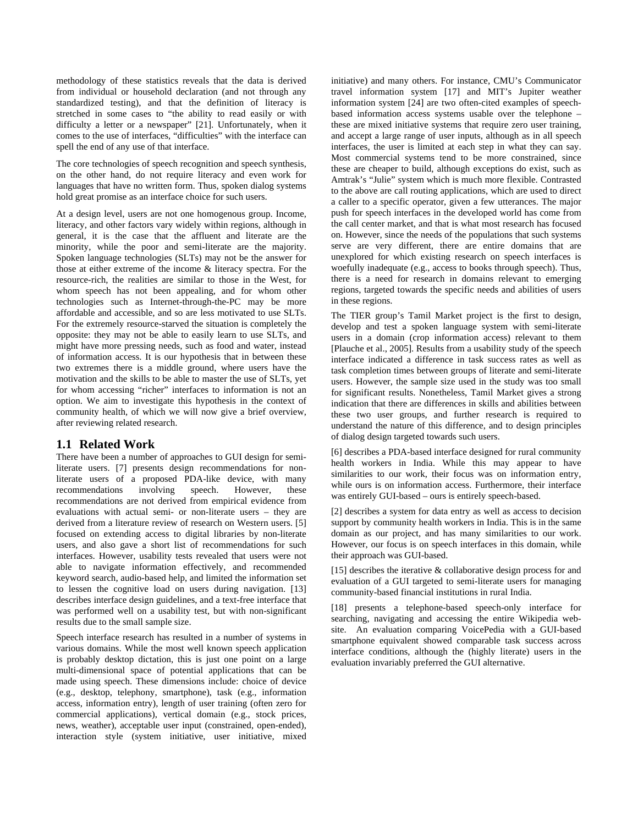methodology of these statistics reveals that the data is derived from individual or household declaration (and not through any standardized testing), and that the definition of literacy is stretched in some cases to "the ability to read easily or with difficulty a letter or a newspaper" [21]. Unfortunately, when it comes to the use of interfaces, "difficulties" with the interface can spell the end of any use of that interface.

The core technologies of speech recognition and speech synthesis, on the other hand, do not require literacy and even work for languages that have no written form. Thus, spoken dialog systems hold great promise as an interface choice for such users.

At a design level, users are not one homogenous group. Income, literacy, and other factors vary widely within regions, although in general, it is the case that the affluent and literate are the minority, while the poor and semi-literate are the majority. Spoken language technologies (SLTs) may not be the answer for those at either extreme of the income & literacy spectra. For the resource-rich, the realities are similar to those in the West, for whom speech has not been appealing, and for whom other technologies such as Internet-through-the-PC may be more affordable and accessible, and so are less motivated to use SLTs. For the extremely resource-starved the situation is completely the opposite: they may not be able to easily learn to use SLTs, and might have more pressing needs, such as food and water, instead of information access. It is our hypothesis that in between these two extremes there is a middle ground, where users have the motivation and the skills to be able to master the use of SLTs, yet for whom accessing "richer" interfaces to information is not an option. We aim to investigate this hypothesis in the context of community health, of which we will now give a brief overview, after reviewing related research.

# **1.1 Related Work**

There have been a number of approaches to GUI design for semiliterate users. [7] presents design recommendations for nonliterate users of a proposed PDA-like device, with many recommendations involving speech. However, these recommendations are not derived from empirical evidence from evaluations with actual semi- or non-literate users – they are derived from a literature review of research on Western users. [5] focused on extending access to digital libraries by non-literate users, and also gave a short list of recommendations for such interfaces. However, usability tests revealed that users were not able to navigate information effectively, and recommended keyword search, audio-based help, and limited the information set to lessen the cognitive load on users during navigation. [13] describes interface design guidelines, and a text-free interface that was performed well on a usability test, but with non-significant results due to the small sample size.

Speech interface research has resulted in a number of systems in various domains. While the most well known speech application is probably desktop dictation, this is just one point on a large multi-dimensional space of potential applications that can be made using speech. These dimensions include: choice of device (e.g., desktop, telephony, smartphone), task (e.g., information access, information entry), length of user training (often zero for commercial applications), vertical domain (e.g., stock prices, news, weather), acceptable user input (constrained, open-ended), interaction style (system initiative, user initiative, mixed initiative) and many others. For instance, CMU's Communicator travel information system [17] and MIT's Jupiter weather information system [24] are two often-cited examples of speechbased information access systems usable over the telephone – these are mixed initiative systems that require zero user training, and accept a large range of user inputs, although as in all speech interfaces, the user is limited at each step in what they can say. Most commercial systems tend to be more constrained, since these are cheaper to build, although exceptions do exist, such as Amtrak's "Julie" system which is much more flexible. Contrasted to the above are call routing applications, which are used to direct a caller to a specific operator, given a few utterances. The major push for speech interfaces in the developed world has come from the call center market, and that is what most research has focused on. However, since the needs of the populations that such systems serve are very different, there are entire domains that are unexplored for which existing research on speech interfaces is woefully inadequate (e.g., access to books through speech). Thus, there is a need for research in domains relevant to emerging regions, targeted towards the specific needs and abilities of users in these regions.

The TIER group's Tamil Market project is the first to design, develop and test a spoken language system with semi-literate users in a domain (crop information access) relevant to them [Plauche et al., 2005]. Results from a usability study of the speech interface indicated a difference in task success rates as well as task completion times between groups of literate and semi-literate users. However, the sample size used in the study was too small for significant results. Nonetheless, Tamil Market gives a strong indication that there are differences in skills and abilities between these two user groups, and further research is required to understand the nature of this difference, and to design principles of dialog design targeted towards such users.

[6] describes a PDA-based interface designed for rural community health workers in India. While this may appear to have similarities to our work, their focus was on information entry, while ours is on information access. Furthermore, their interface was entirely GUI-based – ours is entirely speech-based.

[2] describes a system for data entry as well as access to decision support by community health workers in India. This is in the same domain as our project, and has many similarities to our work. However, our focus is on speech interfaces in this domain, while their approach was GUI-based.

[15] describes the iterative  $\&$  collaborative design process for and evaluation of a GUI targeted to semi-literate users for managing community-based financial institutions in rural India.

[18] presents a telephone-based speech-only interface for searching, navigating and accessing the entire Wikipedia website. An evaluation comparing VoicePedia with a GUI-based smartphone equivalent showed comparable task success across interface conditions, although the (highly literate) users in the evaluation invariably preferred the GUI alternative.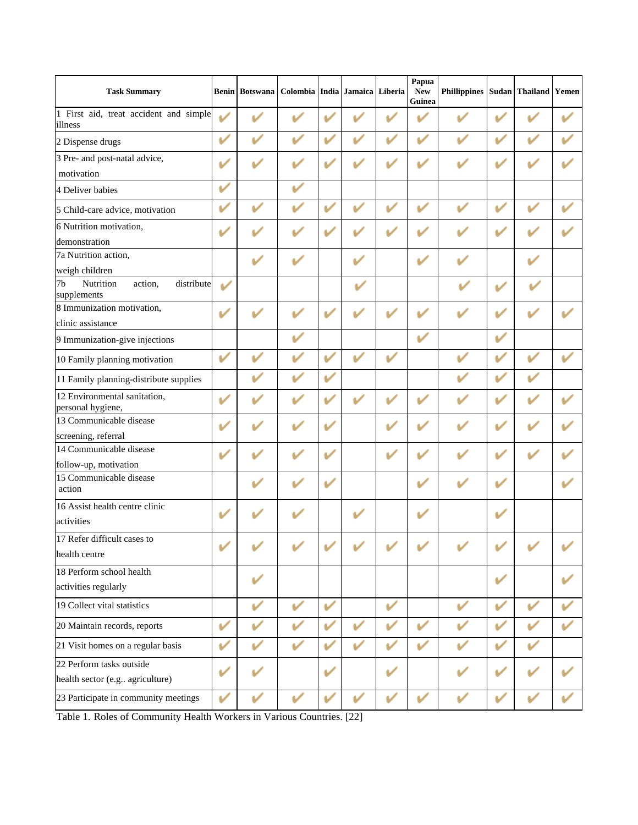| <b>Task Summary</b>                                                 |                  | <b>Benin</b> Botswana | Colombia India Jamaica |   |   | Liberia      | Papua<br><b>New</b><br>Guinea | <b>Phillippines</b> |   | Sudan Thailand Yemen |  |
|---------------------------------------------------------------------|------------------|-----------------------|------------------------|---|---|--------------|-------------------------------|---------------------|---|----------------------|--|
| 1 First aid, treat accident and simple<br>illness                   | $\overline{\nu}$ |                       |                        |   |   |              |                               |                     |   |                      |  |
| 2 Dispense drugs                                                    | v                |                       |                        | v | v | v            |                               | v                   | v | v                    |  |
| 3 Pre- and post-natal advice,                                       |                  |                       |                        |   |   |              |                               |                     |   |                      |  |
| motivation                                                          |                  |                       |                        |   |   |              |                               |                     |   |                      |  |
| 4 Deliver babies                                                    | v                |                       | V                      |   |   |              |                               |                     |   |                      |  |
| 5 Child-care advice, motivation                                     |                  |                       |                        |   |   |              |                               |                     |   |                      |  |
| 6 Nutrition motivation,                                             | V                |                       |                        | v |   |              |                               |                     |   |                      |  |
| demonstration                                                       |                  |                       |                        |   |   |              |                               |                     |   |                      |  |
| 7a Nutrition action,                                                |                  |                       |                        |   |   |              |                               |                     |   |                      |  |
| weigh children                                                      |                  |                       |                        |   |   |              |                               |                     |   |                      |  |
| Nutrition<br>distribute<br>7 <sub>b</sub><br>action,<br>supplements | ✓                |                       |                        |   |   |              |                               |                     |   | V                    |  |
| 8 Immunization motivation,                                          | v                |                       |                        |   |   |              |                               |                     |   |                      |  |
| clinic assistance                                                   |                  |                       |                        |   |   |              |                               |                     |   |                      |  |
| 9 Immunization-give injections                                      |                  |                       |                        |   |   |              | V                             |                     | v |                      |  |
| 10 Family planning motivation                                       | v                |                       |                        |   |   |              |                               |                     |   |                      |  |
| 11 Family planning-distribute supplies                              |                  |                       |                        | v |   |              |                               |                     |   |                      |  |
| 12 Environmental sanitation,<br>personal hygiene,                   | V                |                       |                        | v |   |              |                               |                     |   |                      |  |
| 13 Communicable disease                                             |                  |                       |                        | v |   |              |                               |                     |   |                      |  |
| screening, referral                                                 |                  |                       |                        | v |   |              |                               |                     |   |                      |  |
| 14 Communicable disease                                             |                  |                       |                        |   |   |              |                               |                     |   |                      |  |
| follow-up, motivation<br>15 Communicable disease                    |                  |                       |                        |   |   |              |                               |                     |   |                      |  |
| action                                                              |                  |                       |                        |   |   |              |                               |                     |   |                      |  |
| 16 Assist health centre clinic                                      |                  |                       |                        |   |   |              |                               |                     |   |                      |  |
| activities                                                          |                  |                       |                        |   |   |              |                               |                     |   |                      |  |
| 17 Refer difficult cases to                                         |                  |                       |                        |   |   |              |                               |                     |   |                      |  |
| health centre                                                       |                  |                       |                        |   |   |              |                               |                     |   |                      |  |
| 18 Perform school health                                            |                  |                       |                        |   |   |              |                               |                     |   |                      |  |
| activities regularly                                                |                  |                       |                        |   |   |              |                               |                     |   |                      |  |
| 19 Collect vital statistics                                         |                  |                       |                        | V |   | $\mathbf{v}$ |                               |                     |   |                      |  |
| 20 Maintain records, reports                                        | V                |                       |                        |   |   | v            |                               |                     |   |                      |  |
| 21 Visit homes on a regular basis                                   | ✓                |                       |                        |   |   | ✓            |                               |                     |   |                      |  |
| 22 Perform tasks outside                                            |                  |                       |                        | v |   |              |                               |                     |   |                      |  |
| health sector (e.g agriculture)                                     |                  |                       |                        |   |   |              |                               |                     |   |                      |  |
| 23 Participate in community meetings                                | ັ                |                       | ✓                      | ັ | ັ | V            | $\mathbf{v}$                  | ✓                   |   | ✓                    |  |

Table 1. Roles of Community Health Workers in Various Countries. [22]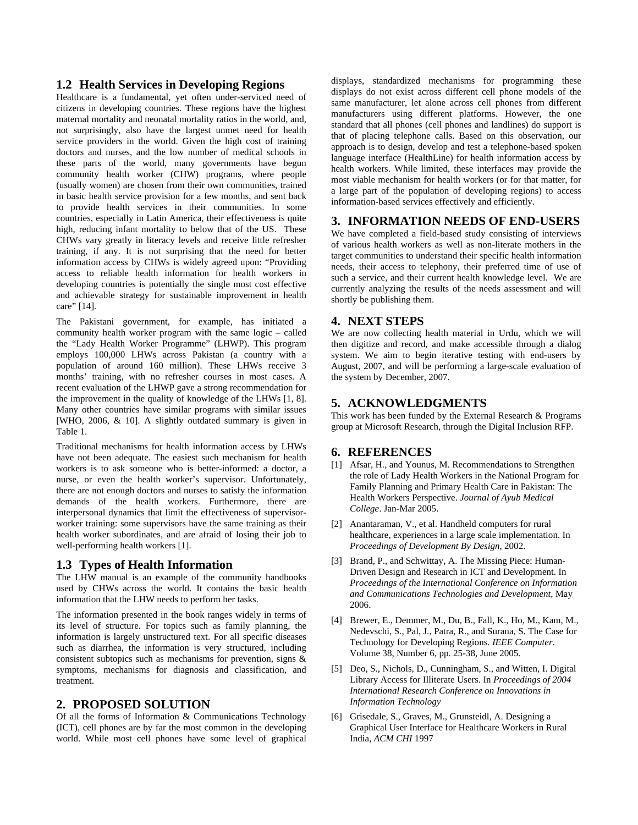## **1.2 Health Services in Developing Regions**

Healthcare is a fundamental, yet often under-serviced need of citizens in developing countries. These regions have the highest maternal mortality and neonatal mortality ratios in the world, and, not surprisingly, also have the largest unmet need for health service providers in the world. Given the high cost of training doctors and nurses, and the low number of medical schools in these parts of the world, many governments have begun community health worker (CHW) programs, where people (usually women) are chosen from their own communities, trained in basic health service provision for a few months, and sent back to provide health services in their communities. In some countries, especially in Latin America, their effectiveness is quite high, reducing infant mortality to below that of the US. These CHWs vary greatly in literacy levels and receive little refresher training, if any. It is not surprising that the need for better information access by CHWs is widely agreed upon: "Providing access to reliable health information for health workers in developing countries is potentially the single most cost effective and achievable strategy for sustainable improvement in health care" [14].

The Pakistani government, for example, has initiated a community health worker program with the same logic – called the "Lady Health Worker Programme" (LHWP). This program employs 100,000 LHWs across Pakistan (a country with a population of around 160 million). These LHWs receive 3 months' training, with no refresher courses in most cases. A recent evaluation of the LHWP gave a strong recommendation for the improvement in the quality of knowledge of the LHWs [1, 8]. Many other countries have similar programs with similar issues [WHO, 2006, & 10]. A slightly outdated summary is given in Table 1.

Traditional mechanisms for health information access by LHWs have not been adequate. The easiest such mechanism for health workers is to ask someone who is better-informed: a doctor, a nurse, or even the health worker's supervisor. Unfortunately, there are not enough doctors and nurses to satisfy the information demands of the health workers. Furthermore, there are interpersonal dynamics that limit the effectiveness of supervisorworker training: some supervisors have the same training as their health worker subordinates, and are afraid of losing their job to well-performing health workers [1].

#### **1.3 Types of Health Information**

The LHW manual is an example of the community handbooks used by CHWs across the world. It contains the basic health information that the LHW needs to perform her tasks.

The information presented in the book ranges widely in terms of its level of structure. For topics such as family planning, the information is largely unstructured text. For all specific diseases such as diarrhea, the information is very structured, including consistent subtopics such as mechanisms for prevention, signs & symptoms, mechanisms for diagnosis and classification, and treatment.

# **2. PROPOSED SOLUTION**

Of all the forms of Information & Communications Technology (ICT), cell phones are by far the most common in the developing world. While most cell phones have some level of graphical

displays, standardized mechanisms for programming these displays do not exist across different cell phone models of the same manufacturer, let alone across cell phones from different manufacturers using different platforms. However, the one standard that all phones (cell phones and landlines) do support is that of placing telephone calls. Based on this observation, our approach is to design, develop and test a telephone-based spoken language interface (HealthLine) for health information access by health workers. While limited, these interfaces may provide the most viable mechanism for health workers (or for that matter, for a large part of the population of developing regions) to access information-based services effectively and efficiently.

## **3. INFORMATION NEEDS OF END-USERS**

We have completed a field-based study consisting of interviews of various health workers as well as non-literate mothers in the target communities to understand their specific health information needs, their access to telephony, their preferred time of use of such a service, and their current health knowledge level. We are currently analyzing the results of the needs assessment and will shortly be publishing them.

## **4. NEXT STEPS**

We are now collecting health material in Urdu, which we will then digitize and record, and make accessible through a dialog system. We aim to begin iterative testing with end-users by August, 2007, and will be performing a large-scale evaluation of the system by December, 2007.

## **5. ACKNOWLEDGMENTS**

This work has been funded by the External Research & Programs group at Microsoft Research, through the Digital Inclusion RFP.

#### **6. REFERENCES**

- [1] Afsar, H., and Younus, M. Recommendations to Strengthen the role of Lady Health Workers in the National Program for Family Planning and Primary Health Care in Pakistan: The Health Workers Perspective. *Journal of Ayub Medical College*. Jan-Mar 2005.
- [2] Anantaraman, V., et al. Handheld computers for rural healthcare, experiences in a large scale implementation. In *Proceedings of Development By Design*, 2002.
- [3] Brand, P., and Schwittay, A. The Missing Piece: Human-Driven Design and Research in ICT and Development. In *Proceedings of the International Conference on Information and Communications Technologies and Development*, May 2006.
- [4] Brewer, E., Demmer, M., Du, B., Fall, K., Ho, M., Kam, M., Nedevschi, S., Pal, J., Patra, R., and Surana, S. The Case for Technology for Developing Regions. *IEEE Computer*. Volume 38, Number 6, pp. 25-38, June 2005.
- [5] Deo, S., Nichols, D., Cunningham, S., and Witten, I. Digital Library Access for Illiterate Users. In *Proceedings of 2004 International Research Conference on Innovations in Information Technology*
- [6] Grisedale, S., Graves, M., Grunsteidl, A. Designing a Graphical User Interface for Healthcare Workers in Rural India, *ACM CHI* 1997